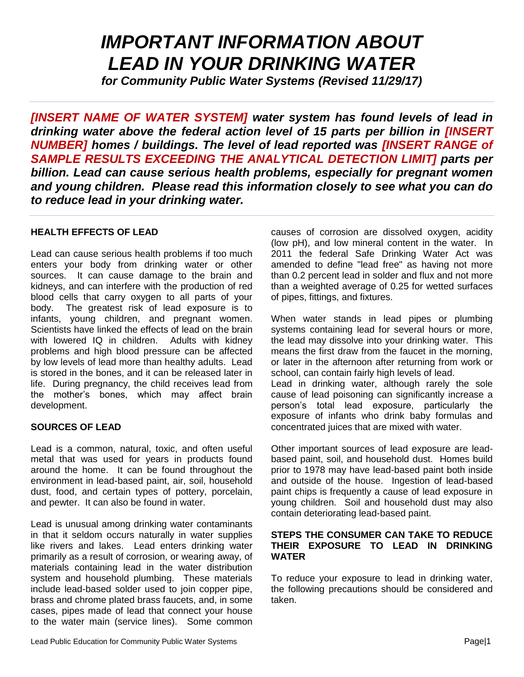# *IMPORTANT INFORMATION ABOUT LEAD IN YOUR DRINKING WATER*

*for Community Public Water Systems (Revised 11/29/17)*

*[INSERT NAME OF WATER SYSTEM] water system has found levels of lead in drinking water above the federal action level of 15 parts per billion in [INSERT NUMBER] homes / buildings. The level of lead reported was [INSERT RANGE of SAMPLE RESULTS EXCEEDING THE ANALYTICAL DETECTION LIMIT] parts per billion. Lead can cause serious health problems, especially for pregnant women and young children. Please read this information closely to see what you can do to reduce lead in your drinking water.*

### **HEALTH EFFECTS OF LEAD**

Lead can cause serious health problems if too much enters your body from drinking water or other sources. It can cause damage to the brain and kidneys, and can interfere with the production of red blood cells that carry oxygen to all parts of your body. The greatest risk of lead exposure is to infants, young children, and pregnant women. Scientists have linked the effects of lead on the brain with lowered IQ in children. Adults with kidney problems and high blood pressure can be affected by low levels of lead more than healthy adults. Lead is stored in the bones, and it can be released later in life. During pregnancy, the child receives lead from the mother's bones, which may affect brain development.

### **SOURCES OF LEAD**

Lead is a common, natural, toxic, and often useful metal that was used for years in products found around the home. It can be found throughout the environment in lead-based paint, air, soil, household dust, food, and certain types of pottery, porcelain, and pewter. It can also be found in water.

Lead is unusual among drinking water contaminants in that it seldom occurs naturally in water supplies like rivers and lakes. Lead enters drinking water primarily as a result of corrosion, or wearing away, of materials containing lead in the water distribution system and household plumbing. These materials include lead-based solder used to join copper pipe, brass and chrome plated brass faucets, and, in some cases, pipes made of lead that connect your house to the water main (service lines). Some common causes of corrosion are dissolved oxygen, acidity (low pH), and low mineral content in the water. In 2011 the federal Safe Drinking Water Act was amended to define "lead free" as having not more than 0.2 percent lead in solder and flux and not more than a weighted average of 0.25 for wetted surfaces of pipes, fittings, and fixtures.

When water stands in lead pipes or plumbing systems containing lead for several hours or more, the lead may dissolve into your drinking water. This means the first draw from the faucet in the morning, or later in the afternoon after returning from work or school, can contain fairly high levels of lead. Lead in drinking water, although rarely the sole cause of lead poisoning can significantly increase a person's total lead exposure, particularly the exposure of infants who drink baby formulas and

Other important sources of lead exposure are leadbased paint, soil, and household dust. Homes build prior to 1978 may have lead-based paint both inside and outside of the house. Ingestion of lead-based paint chips is frequently a cause of lead exposure in young children. Soil and household dust may also contain deteriorating lead-based paint.

concentrated juices that are mixed with water.

### **STEPS THE CONSUMER CAN TAKE TO REDUCE THEIR EXPOSURE TO LEAD IN DRINKING WATER**

To reduce your exposure to lead in drinking water, the following precautions should be considered and taken.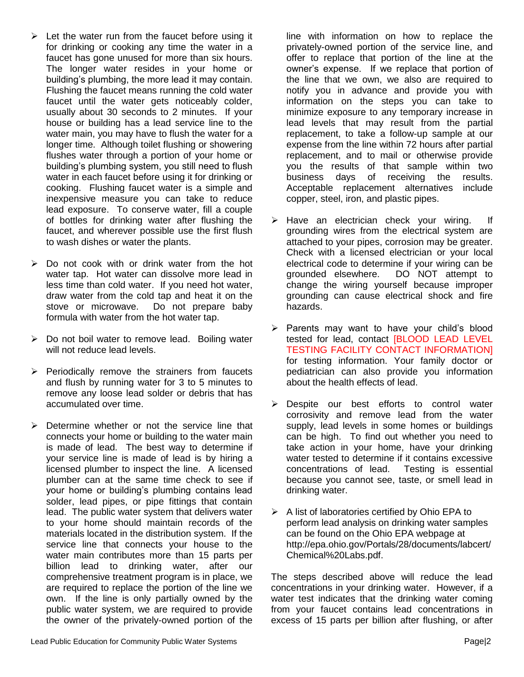- $\triangleright$  Let the water run from the faucet before using it for drinking or cooking any time the water in a faucet has gone unused for more than six hours. The longer water resides in your home or building's plumbing, the more lead it may contain. Flushing the faucet means running the cold water faucet until the water gets noticeably colder, usually about 30 seconds to 2 minutes. If your house or building has a lead service line to the water main, you may have to flush the water for a longer time. Although toilet flushing or showering flushes water through a portion of your home or building's plumbing system, you still need to flush water in each faucet before using it for drinking or cooking. Flushing faucet water is a simple and inexpensive measure you can take to reduce lead exposure. To conserve water, fill a couple of bottles for drinking water after flushing the faucet, and wherever possible use the first flush to wash dishes or water the plants.
- ➢ Do not cook with or drink water from the hot water tap. Hot water can dissolve more lead in less time than cold water. If you need hot water, draw water from the cold tap and heat it on the stove or microwave. Do not prepare baby formula with water from the hot water tap.
- $\triangleright$  Do not boil water to remove lead. Boiling water will not reduce lead levels.
- ➢ Periodically remove the strainers from faucets and flush by running water for 3 to 5 minutes to remove any loose lead solder or debris that has accumulated over time.
- $\triangleright$  Determine whether or not the service line that connects your home or building to the water main is made of lead. The best way to determine if your service line is made of lead is by hiring a licensed plumber to inspect the line. A licensed plumber can at the same time check to see if your home or building's plumbing contains lead solder, lead pipes, or pipe fittings that contain lead. The public water system that delivers water to your home should maintain records of the materials located in the distribution system. If the service line that connects your house to the water main contributes more than 15 parts per billion lead to drinking water, after our comprehensive treatment program is in place, we are required to replace the portion of the line we own. If the line is only partially owned by the public water system, we are required to provide the owner of the privately-owned portion of the

line with information on how to replace the privately-owned portion of the service line, and offer to replace that portion of the line at the owner's expense. If we replace that portion of the line that we own, we also are required to notify you in advance and provide you with information on the steps you can take to minimize exposure to any temporary increase in lead levels that may result from the partial replacement, to take a follow-up sample at our expense from the line within 72 hours after partial replacement, and to mail or otherwise provide you the results of that sample within two business days of receiving the results. Acceptable replacement alternatives include copper, steel, iron, and plastic pipes.

- ➢ Have an electrician check your wiring. If grounding wires from the electrical system are attached to your pipes, corrosion may be greater. Check with a licensed electrician or your local electrical code to determine if your wiring can be grounded elsewhere. DO NOT attempt to change the wiring yourself because improper grounding can cause electrical shock and fire hazards.
- ➢ Parents may want to have your child's blood tested for lead, contact [BLOOD LEAD LEVEL TESTING FACILITY CONTACT INFORMATION] for testing information. Your family doctor or pediatrician can also provide you information about the health effects of lead.
- ➢ Despite our best efforts to control water corrosivity and remove lead from the water supply, lead levels in some homes or buildings can be high. To find out whether you need to take action in your home, have your drinking water tested to determine if it contains excessive concentrations of lead. Testing is essential because you cannot see, taste, or smell lead in drinking water.
- $\triangleright$  A list of laboratories certified by Ohio EPA to perform lead analysis on drinking water samples can be found on the Ohio EPA webpage at http://epa.ohio.gov/Portals/28/documents/labcert/ Chemical%20Labs.pdf.

The steps described above will reduce the lead concentrations in your drinking water. However, if a water test indicates that the drinking water coming from your faucet contains lead concentrations in excess of 15 parts per billion after flushing, or after